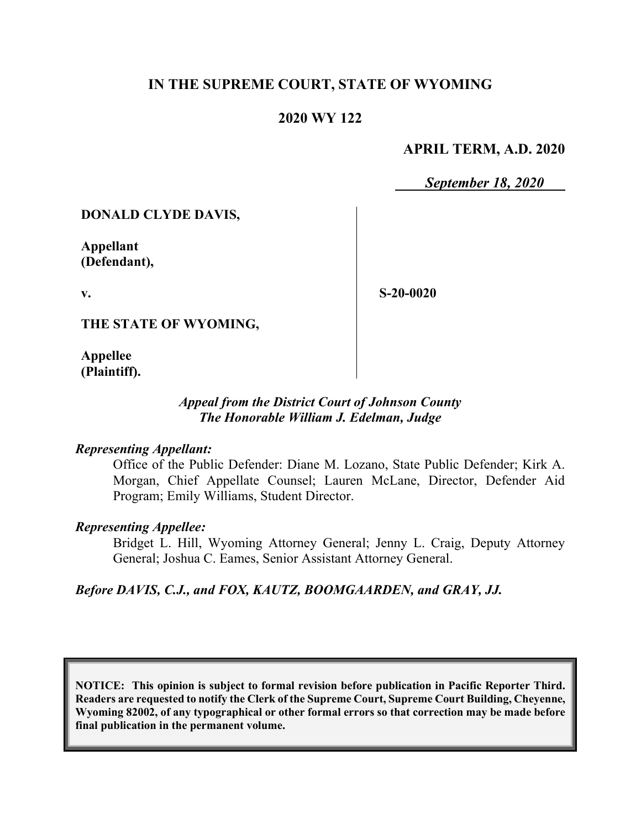# **IN THE SUPREME COURT, STATE OF WYOMING**

### **2020 WY 122**

### **APRIL TERM, A.D. 2020**

*September 18, 2020*

### **DONALD CLYDE DAVIS,**

**Appellant (Defendant),**

**v.**

**S-20-0020**

**THE STATE OF WYOMING,**

**Appellee (Plaintiff).**

### *Appeal from the District Court of Johnson County The Honorable William J. Edelman, Judge*

#### *Representing Appellant:*

Office of the Public Defender: Diane M. Lozano, State Public Defender; Kirk A. Morgan, Chief Appellate Counsel; Lauren McLane, Director, Defender Aid Program; Emily Williams, Student Director.

### *Representing Appellee:*

Bridget L. Hill, Wyoming Attorney General; Jenny L. Craig, Deputy Attorney General; Joshua C. Eames, Senior Assistant Attorney General.

*Before DAVIS, C.J., and FOX, KAUTZ, BOOMGAARDEN, and GRAY, JJ.*

**NOTICE: This opinion is subject to formal revision before publication in Pacific Reporter Third. Readers are requested to notify the Clerk of the Supreme Court, Supreme Court Building, Cheyenne, Wyoming 82002, of any typographical or other formal errors so that correction may be made before final publication in the permanent volume.**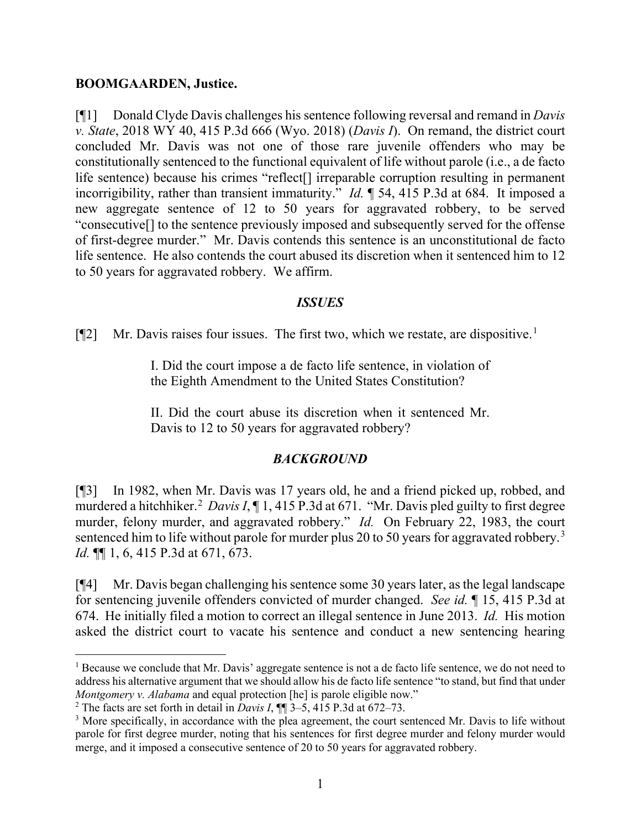### **BOOMGAARDEN, Justice.**

[¶1] Donald Clyde Davis challenges his sentence following reversal and remand in *Davis v. State*, 2018 WY 40, 415 P.3d 666 (Wyo. 2018) (*Davis I*). On remand, the district court concluded Mr. Davis was not one of those rare juvenile offenders who may be constitutionally sentenced to the functional equivalent of life without parole (i.e., a de facto life sentence) because his crimes "reflect[] irreparable corruption resulting in permanent incorrigibility, rather than transient immaturity." *Id.* ¶ 54, 415 P.3d at 684. It imposed a new aggregate sentence of 12 to 50 years for aggravated robbery, to be served "consecutive[] to the sentence previously imposed and subsequently served for the offense of first-degree murder." Mr. Davis contends this sentence is an unconstitutional de facto life sentence. He also contends the court abused its discretion when it sentenced him to 12 to 50 years for aggravated robbery. We affirm.

### *ISSUES*

[¶2] Mr. Davis raises four issues. The first two, which we restate, are dispositive.<sup>[1](#page-1-0)</sup>

I. Did the court impose a de facto life sentence, in violation of the Eighth Amendment to the United States Constitution?

II. Did the court abuse its discretion when it sentenced Mr. Davis to 12 to 50 years for aggravated robbery?

# *BACKGROUND*

[¶3] In 1982, when Mr. Davis was 17 years old, he and a friend picked up, robbed, and murdered a hitchhiker.<sup>[2](#page-1-1)</sup> Davis I, 1, 415 P.3d at 671. "Mr. Davis pled guilty to first degree murder, felony murder, and aggravated robbery." *Id.* On February 22, 1983, the court sentenced him to life without parole for murder plus 20 to 50 years for aggravated robbery.<sup>[3](#page-1-2)</sup> *Id.* ¶[ 1, 6, 415 P.3d at 671, 673.

[¶4] Mr. Davis began challenging his sentence some 30 years later, as the legal landscape for sentencing juvenile offenders convicted of murder changed. *See id.* ¶ 15, 415 P.3d at 674. He initially filed a motion to correct an illegal sentence in June 2013. *Id.* His motion asked the district court to vacate his sentence and conduct a new sentencing hearing

<span id="page-1-0"></span><sup>&</sup>lt;sup>1</sup> Because we conclude that Mr. Davis' aggregate sentence is not a de facto life sentence, we do not need to address his alternative argument that we should allow his de facto life sentence "to stand, but find that under *Montgomery v. Alabama* and equal protection [he] is parole eligible now."

<span id="page-1-1"></span><sup>&</sup>lt;sup>2</sup> The facts are set forth in detail in *Davis I*,  $\P$   $\overline{3}$  –5, 415 P.3d at 672–73.

<span id="page-1-2"></span><sup>&</sup>lt;sup>3</sup> More specifically, in accordance with the plea agreement, the court sentenced Mr. Davis to life without parole for first degree murder, noting that his sentences for first degree murder and felony murder would merge, and it imposed a consecutive sentence of 20 to 50 years for aggravated robbery.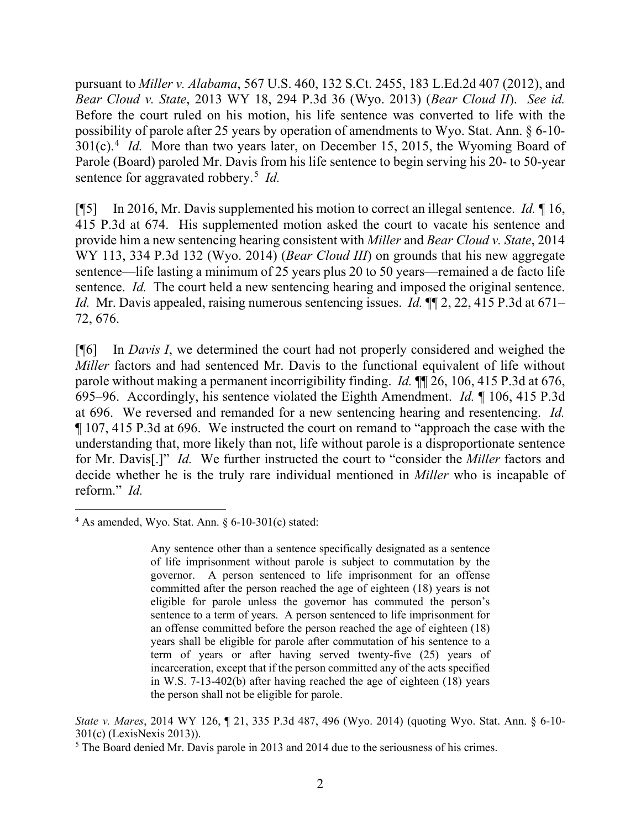pursuant to *Miller v. Alabama*, 567 U.S. 460, 132 S.Ct. 2455, 183 L.Ed.2d 407 (2012), and *Bear Cloud v. State*, 2013 WY 18, 294 P.3d 36 (Wyo. 2013) (*Bear Cloud II*). *See id.* Before the court ruled on his motion, his life sentence was converted to life with the possibility of parole after 25 years by operation of amendments to Wyo. Stat. Ann. § 6-10- 301(c).[4](#page-2-0) *Id.* More than two years later, on December 15, 2015, the Wyoming Board of Parole (Board) paroled Mr. Davis from his life sentence to begin serving his 20- to 50-year sentence for aggravated robbery.<sup>[5](#page-2-1)</sup> Id.

[¶5] In 2016, Mr. Davis supplemented his motion to correct an illegal sentence. *Id.* ¶ 16, 415 P.3d at 674. His supplemented motion asked the court to vacate his sentence and provide him a new sentencing hearing consistent with *Miller* and *Bear Cloud v. State*, 2014 WY 113, 334 P.3d 132 (Wyo. 2014) (*Bear Cloud III*) on grounds that his new aggregate sentence—life lasting a minimum of 25 years plus 20 to 50 years—remained a de facto life sentence. *Id.* The court held a new sentencing hearing and imposed the original sentence. *Id.* Mr. Davis appealed, raising numerous sentencing issues. *Id.* ¶¶ 2, 22, 415 P.3d at 671– 72, 676.

[¶6] In *Davis I*, we determined the court had not properly considered and weighed the *Miller* factors and had sentenced Mr. Davis to the functional equivalent of life without parole without making a permanent incorrigibility finding. *Id.* ¶¶ 26, 106, 415 P.3d at 676, 695–96. Accordingly, his sentence violated the Eighth Amendment. *Id.* ¶ 106, 415 P.3d at 696. We reversed and remanded for a new sentencing hearing and resentencing. *Id.* ¶ 107, 415 P.3d at 696. We instructed the court on remand to "approach the case with the understanding that, more likely than not, life without parole is a disproportionate sentence for Mr. Davis[.]" *Id.* We further instructed the court to "consider the *Miller* factors and decide whether he is the truly rare individual mentioned in *Miller* who is incapable of reform." *Id.*

*State v. Mares*, 2014 WY 126, ¶ 21, 335 P.3d 487, 496 (Wyo. 2014) (quoting Wyo. Stat. Ann. § 6-10- 301(c) (LexisNexis 2013)).

<span id="page-2-0"></span> $4$  As amended, Wyo. Stat. Ann. § 6-10-301(c) stated:

Any sentence other than a sentence specifically designated as a sentence of life imprisonment without parole is subject to commutation by the governor. A person sentenced to life imprisonment for an offense committed after the person reached the age of eighteen (18) years is not eligible for parole unless the governor has commuted the person's sentence to a term of years. A person sentenced to life imprisonment for an offense committed before the person reached the age of eighteen (18) years shall be eligible for parole after commutation of his sentence to a term of years or after having served twenty-five (25) years of incarceration, except that if the person committed any of the acts specified in W.S. 7-13-402(b) after having reached the age of eighteen (18) years the person shall not be eligible for parole.

<span id="page-2-1"></span><sup>&</sup>lt;sup>5</sup> The Board denied Mr. Davis parole in 2013 and 2014 due to the seriousness of his crimes.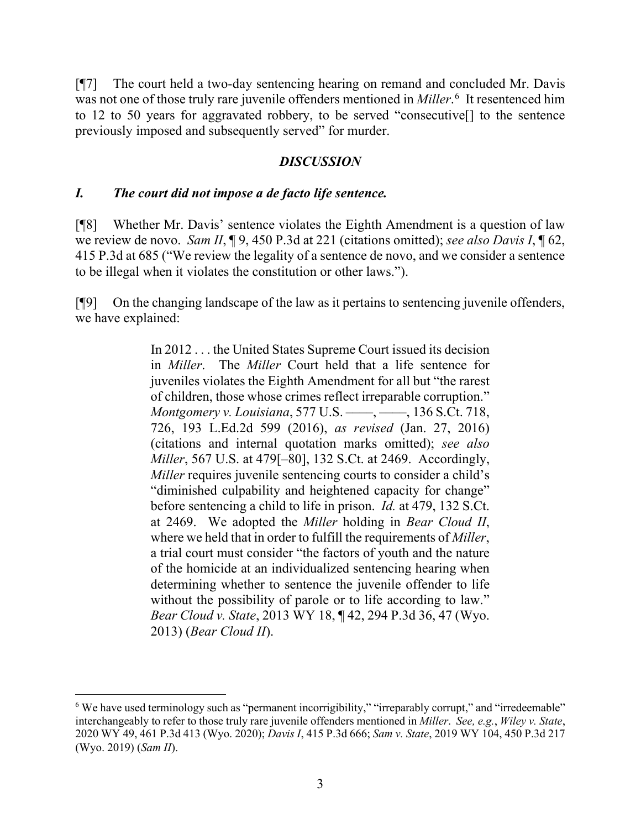[¶7] The court held a two-day sentencing hearing on remand and concluded Mr. Davis was not one of those truly rare juvenile offenders mentioned in *Miller*. [6](#page-3-0) It resentenced him to 12 to 50 years for aggravated robbery, to be served "consecutive[] to the sentence previously imposed and subsequently served" for murder.

# *DISCUSSION*

# *I. The court did not impose a de facto life sentence.*

[¶8] Whether Mr. Davis' sentence violates the Eighth Amendment is a question of law we review de novo. *Sam II*, ¶ 9, 450 P.3d at 221 (citations omitted); *see also Davis I*, ¶ 62, 415 P.3d at 685 ("We review the legality of a sentence de novo, and we consider a sentence to be illegal when it violates the constitution or other laws.").

[¶9] On the changing landscape of the law as it pertains to sentencing juvenile offenders, we have explained:

> In 2012 . . . the United States Supreme Court issued its decision in *Miller*. The *Miller* Court held that a life sentence for juveniles violates the Eighth Amendment for all but "the rarest of children, those whose crimes reflect irreparable corruption." *Montgomery v. Louisiana*, 577 U.S. ––––, ––––, 136 S.Ct. 718, 726, 193 L.Ed.2d 599 (2016), *as revised* (Jan. 27, 2016) (citations and internal quotation marks omitted); *see also Miller*, 567 U.S. at 479[–80], 132 S.Ct. at 2469. Accordingly, *Miller* requires juvenile sentencing courts to consider a child's "diminished culpability and heightened capacity for change" before sentencing a child to life in prison. *Id.* at 479, 132 S.Ct. at 2469. We adopted the *Miller* holding in *Bear Cloud II*, where we held that in order to fulfill the requirements of *Miller*, a trial court must consider "the factors of youth and the nature of the homicide at an individualized sentencing hearing when determining whether to sentence the juvenile offender to life without the possibility of parole or to life according to law." *Bear Cloud v. State*, 2013 WY 18, ¶ 42, 294 P.3d 36, 47 (Wyo. 2013) (*Bear Cloud II*).

<span id="page-3-0"></span><sup>&</sup>lt;sup>6</sup> We have used terminology such as "permanent incorrigibility," "irreparably corrupt," and "irredeemable" interchangeably to refer to those truly rare juvenile offenders mentioned in *Miller*. *See, e.g.*, *Wiley v. State*, 2020 WY 49, 461 P.3d 413 (Wyo. 2020); *Davis I*, 415 P.3d 666; *Sam v. State*, 2019 WY 104, 450 P.3d 217 (Wyo. 2019) (*Sam II*).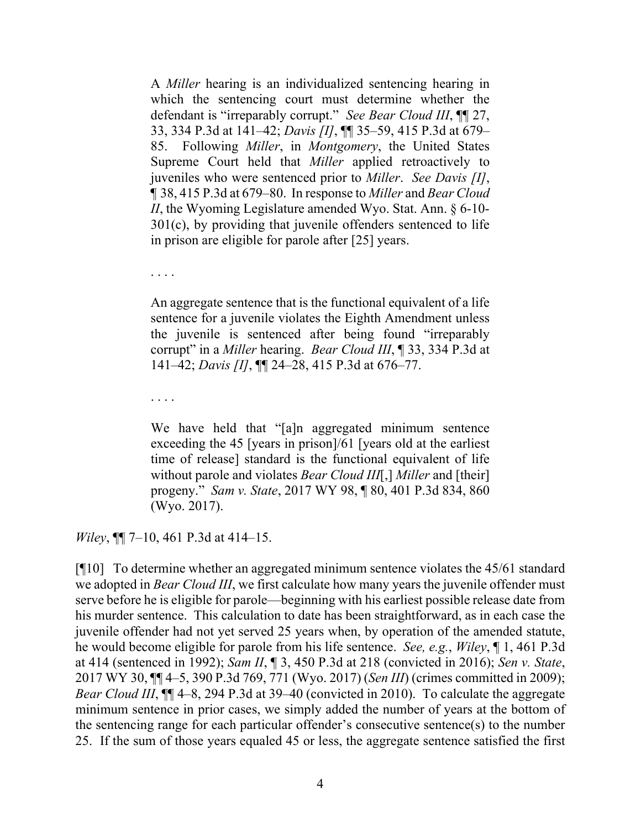A *Miller* hearing is an individualized sentencing hearing in which the sentencing court must determine whether the defendant is "irreparably corrupt." *See Bear Cloud III*, ¶¶ 27, 33, 334 P.3d at 141–42; *Davis [I]*, ¶¶ 35–59, 415 P.3d at 679– 85. Following *Miller*, in *Montgomery*, the United States Supreme Court held that *Miller* applied retroactively to juveniles who were sentenced prior to *Miller*. *See Davis [I]*, ¶ 38, 415 P.3d at 679–80. In response to *Miller* and *Bear Cloud II*, the Wyoming Legislature amended Wyo. Stat. Ann. § 6-10-301(c), by providing that juvenile offenders sentenced to life in prison are eligible for parole after [25] years.

. . . .

An aggregate sentence that is the functional equivalent of a life sentence for a juvenile violates the Eighth Amendment unless the juvenile is sentenced after being found "irreparably corrupt" in a *Miller* hearing. *Bear Cloud III*, ¶ 33, 334 P.3d at 141–42; *Davis [I]*, ¶¶ 24–28, 415 P.3d at 676–77.

. . . .

We have held that "[a]n aggregated minimum sentence exceeding the 45 [years in prison]/61 [years old at the earliest time of release] standard is the functional equivalent of life without parole and violates *Bear Cloud III*[,] *Miller* and [their] progeny." *Sam v. State*, 2017 WY 98, ¶ 80, 401 P.3d 834, 860 (Wyo. 2017).

*Wiley*, ¶¶ 7–10, 461 P.3d at 414–15.

[¶10] To determine whether an aggregated minimum sentence violates the 45/61 standard we adopted in *Bear Cloud III*, we first calculate how many years the juvenile offender must serve before he is eligible for parole—beginning with his earliest possible release date from his murder sentence. This calculation to date has been straightforward, as in each case the juvenile offender had not yet served 25 years when, by operation of the amended statute, he would become eligible for parole from his life sentence. *See, e.g.*, *Wiley*, ¶ 1, 461 P.3d at 414 (sentenced in 1992); *Sam II*, ¶ 3, 450 P.3d at 218 (convicted in 2016); *Sen v. State*, 2017 WY 30, ¶¶ 4–5, 390 P.3d 769, 771 (Wyo. 2017) (*Sen III*) (crimes committed in 2009); *Bear Cloud III*,  $\P$  $\parallel$  4–8, 294 P.3d at 39–40 (convicted in 2010). To calculate the aggregate minimum sentence in prior cases, we simply added the number of years at the bottom of the sentencing range for each particular offender's consecutive sentence(s) to the number 25. If the sum of those years equaled 45 or less, the aggregate sentence satisfied the first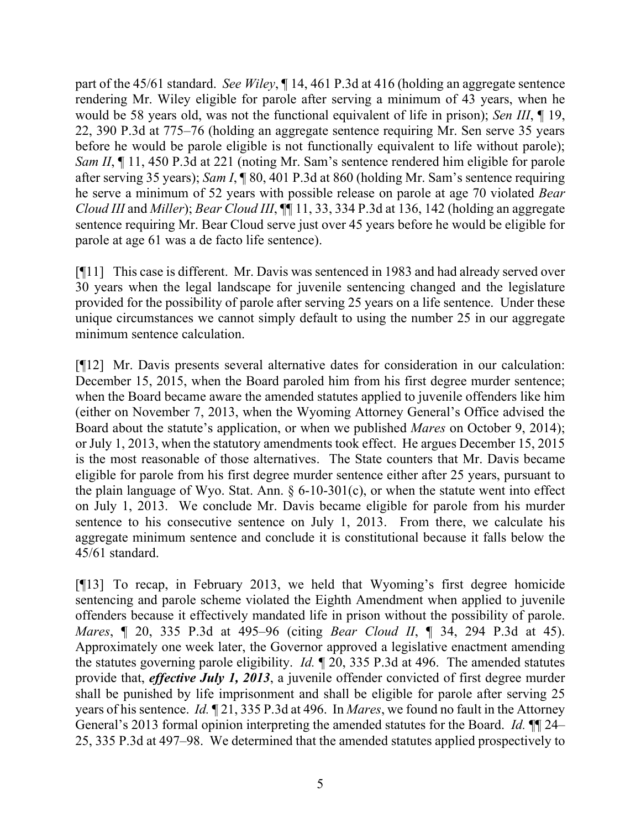part of the 45/61 standard. *See Wiley*, ¶ 14, 461 P.3d at 416 (holding an aggregate sentence rendering Mr. Wiley eligible for parole after serving a minimum of 43 years, when he would be 58 years old, was not the functional equivalent of life in prison); *Sen III*, ¶ 19, 22, 390 P.3d at 775–76 (holding an aggregate sentence requiring Mr. Sen serve 35 years before he would be parole eligible is not functionally equivalent to life without parole); *Sam II*, 11, 450 P.3d at 221 (noting Mr. Sam's sentence rendered him eligible for parole after serving 35 years); *Sam I*, ¶ 80, 401 P.3d at 860 (holding Mr. Sam's sentence requiring he serve a minimum of 52 years with possible release on parole at age 70 violated *Bear Cloud III* and *Miller*); *Bear Cloud III*, ¶¶ 11, 33, 334 P.3d at 136, 142 (holding an aggregate sentence requiring Mr. Bear Cloud serve just over 45 years before he would be eligible for parole at age 61 was a de facto life sentence).

[¶11] This case is different. Mr. Davis was sentenced in 1983 and had already served over 30 years when the legal landscape for juvenile sentencing changed and the legislature provided for the possibility of parole after serving 25 years on a life sentence. Under these unique circumstances we cannot simply default to using the number 25 in our aggregate minimum sentence calculation.

[¶12] Mr. Davis presents several alternative dates for consideration in our calculation: December 15, 2015, when the Board paroled him from his first degree murder sentence; when the Board became aware the amended statutes applied to juvenile offenders like him (either on November 7, 2013, when the Wyoming Attorney General's Office advised the Board about the statute's application, or when we published *Mares* on October 9, 2014); or July 1, 2013, when the statutory amendments took effect. He argues December 15, 2015 is the most reasonable of those alternatives. The State counters that Mr. Davis became eligible for parole from his first degree murder sentence either after 25 years, pursuant to the plain language of Wyo. Stat. Ann.  $\S 6$ -10-301(c), or when the statute went into effect on July 1, 2013. We conclude Mr. Davis became eligible for parole from his murder sentence to his consecutive sentence on July 1, 2013. From there, we calculate his aggregate minimum sentence and conclude it is constitutional because it falls below the 45/61 standard.

[¶13] To recap, in February 2013, we held that Wyoming's first degree homicide sentencing and parole scheme violated the Eighth Amendment when applied to juvenile offenders because it effectively mandated life in prison without the possibility of parole. *Mares*, ¶ 20, 335 P.3d at 495–96 (citing *Bear Cloud II*, ¶ 34, 294 P.3d at 45). Approximately one week later, the Governor approved a legislative enactment amending the statutes governing parole eligibility. *Id.* ¶ 20, 335 P.3d at 496. The amended statutes provide that, *effective July 1, 2013*, a juvenile offender convicted of first degree murder shall be punished by life imprisonment and shall be eligible for parole after serving 25 years of his sentence. *Id.* ¶ 21, 335 P.3d at 496.In *Mares*, we found no fault in the Attorney General's 2013 formal opinion interpreting the amended statutes for the Board. *Id.* ¶¶ 24– 25, 335 P.3d at 497–98. We determined that the amended statutes applied prospectively to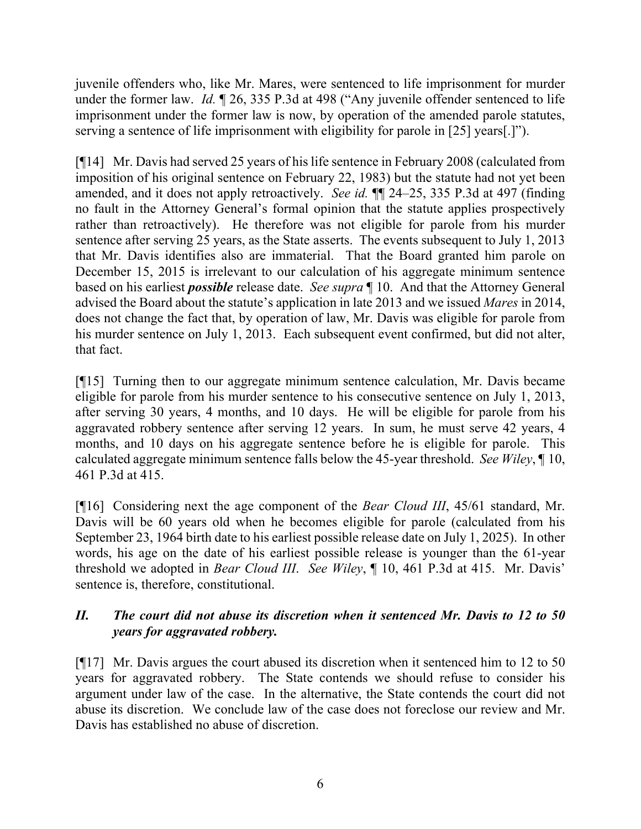juvenile offenders who, like Mr. Mares, were sentenced to life imprisonment for murder under the former law. *Id.* 126, 335 P.3d at 498 ("Any juvenile offender sentenced to life imprisonment under the former law is now, by operation of the amended parole statutes, serving a sentence of life imprisonment with eligibility for parole in [25] years[.]").

[¶14] Mr. Davis had served 25 years of his life sentence in February 2008 (calculated from imposition of his original sentence on February 22, 1983) but the statute had not yet been amended, and it does not apply retroactively. *See id.* ¶¶ 24–25, 335 P.3d at 497 (finding no fault in the Attorney General's formal opinion that the statute applies prospectively rather than retroactively). He therefore was not eligible for parole from his murder sentence after serving 25 years, as the State asserts. The events subsequent to July 1, 2013 that Mr. Davis identifies also are immaterial. That the Board granted him parole on December 15, 2015 is irrelevant to our calculation of his aggregate minimum sentence based on his earliest *possible* release date. *See supra* ¶ 10. And that the Attorney General advised the Board about the statute's application in late 2013 and we issued *Mares* in 2014, does not change the fact that, by operation of law, Mr. Davis was eligible for parole from his murder sentence on July 1, 2013. Each subsequent event confirmed, but did not alter, that fact.

[¶15] Turning then to our aggregate minimum sentence calculation, Mr. Davis became eligible for parole from his murder sentence to his consecutive sentence on July 1, 2013, after serving 30 years, 4 months, and 10 days. He will be eligible for parole from his aggravated robbery sentence after serving 12 years. In sum, he must serve 42 years, 4 months, and 10 days on his aggregate sentence before he is eligible for parole. This calculated aggregate minimum sentence falls below the 45-year threshold. *See Wiley*, ¶ 10, 461 P.3d at 415.

[¶16] Considering next the age component of the *Bear Cloud III*, 45/61 standard, Mr. Davis will be 60 years old when he becomes eligible for parole (calculated from his September 23, 1964 birth date to his earliest possible release date on July 1, 2025). In other words, his age on the date of his earliest possible release is younger than the 61-year threshold we adopted in *Bear Cloud III*. *See Wiley*, ¶ 10, 461 P.3d at 415. Mr. Davis' sentence is, therefore, constitutional.

# *II. The court did not abuse its discretion when it sentenced Mr. Davis to 12 to 50 years for aggravated robbery.*

[¶17] Mr. Davis argues the court abused its discretion when it sentenced him to 12 to 50 years for aggravated robbery. The State contends we should refuse to consider his argument under law of the case. In the alternative, the State contends the court did not abuse its discretion. We conclude law of the case does not foreclose our review and Mr. Davis has established no abuse of discretion.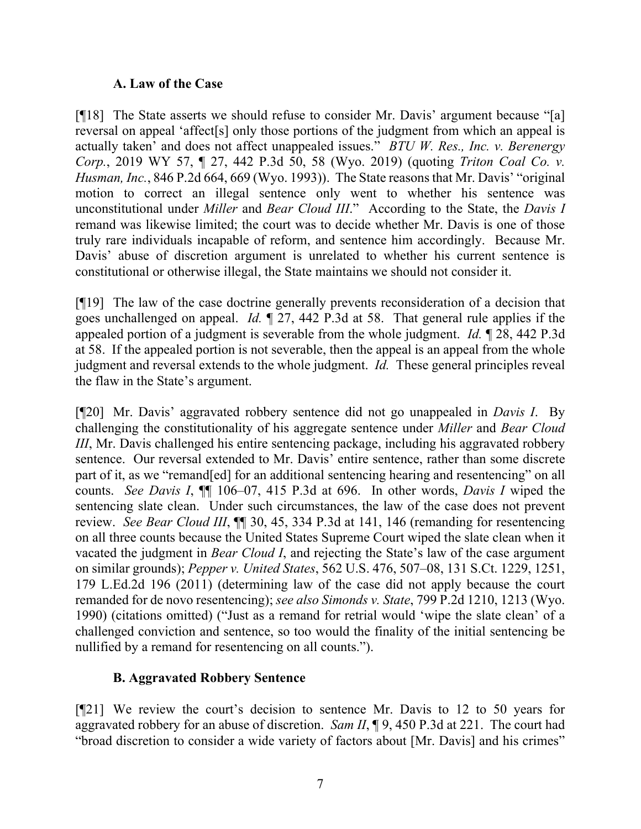### **A. Law of the Case**

[¶18] The State asserts we should refuse to consider Mr. Davis' argument because "[a] reversal on appeal 'affect[s] only those portions of the judgment from which an appeal is actually taken' and does not affect unappealed issues." *BTU W. Res., Inc. v. Berenergy Corp.*, 2019 WY 57, ¶ 27, 442 P.3d 50, 58 (Wyo. 2019) (quoting *Triton Coal Co. v. Husman, Inc.*, 846 P.2d 664, 669 (Wyo. 1993)). The State reasons that Mr. Davis' "original motion to correct an illegal sentence only went to whether his sentence was unconstitutional under *Miller* and *Bear Cloud III*." According to the State, the *Davis I* remand was likewise limited; the court was to decide whether Mr. Davis is one of those truly rare individuals incapable of reform, and sentence him accordingly. Because Mr. Davis' abuse of discretion argument is unrelated to whether his current sentence is constitutional or otherwise illegal, the State maintains we should not consider it.

[¶19] The law of the case doctrine generally prevents reconsideration of a decision that goes unchallenged on appeal. *Id.* ¶ 27, 442 P.3d at 58. That general rule applies if the appealed portion of a judgment is severable from the whole judgment. *Id.* ¶ 28, 442 P.3d at 58. If the appealed portion is not severable, then the appeal is an appeal from the whole judgment and reversal extends to the whole judgment. *Id.* These general principles reveal the flaw in the State's argument.

[¶20] Mr. Davis' aggravated robbery sentence did not go unappealed in *Davis I*. By challenging the constitutionality of his aggregate sentence under *Miller* and *Bear Cloud III*, Mr. Davis challenged his entire sentencing package, including his aggravated robbery sentence. Our reversal extended to Mr. Davis' entire sentence, rather than some discrete part of it, as we "remand[ed] for an additional sentencing hearing and resentencing" on all counts. *See Davis I*, ¶¶ 106–07, 415 P.3d at 696. In other words, *Davis I* wiped the sentencing slate clean. Under such circumstances, the law of the case does not prevent review. *See Bear Cloud III*, ¶¶ 30, 45, 334 P.3d at 141, 146 (remanding for resentencing on all three counts because the United States Supreme Court wiped the slate clean when it vacated the judgment in *Bear Cloud I*, and rejecting the State's law of the case argument on similar grounds); *Pepper v. United States*, 562 U.S. 476, 507–08, 131 S.Ct. 1229, 1251, 179 L.Ed.2d 196 (2011) (determining law of the case did not apply because the court remanded for de novo resentencing); *see also Simonds v. State*, 799 P.2d 1210, 1213 (Wyo. 1990) (citations omitted) ("Just as a remand for retrial would 'wipe the slate clean' of a challenged conviction and sentence, so too would the finality of the initial sentencing be nullified by a remand for resentencing on all counts.").

# **B. Aggravated Robbery Sentence**

[¶21] We review the court's decision to sentence Mr. Davis to 12 to 50 years for aggravated robbery for an abuse of discretion. *Sam II*, ¶ 9, 450 P.3d at 221. The court had "broad discretion to consider a wide variety of factors about [Mr. Davis] and his crimes"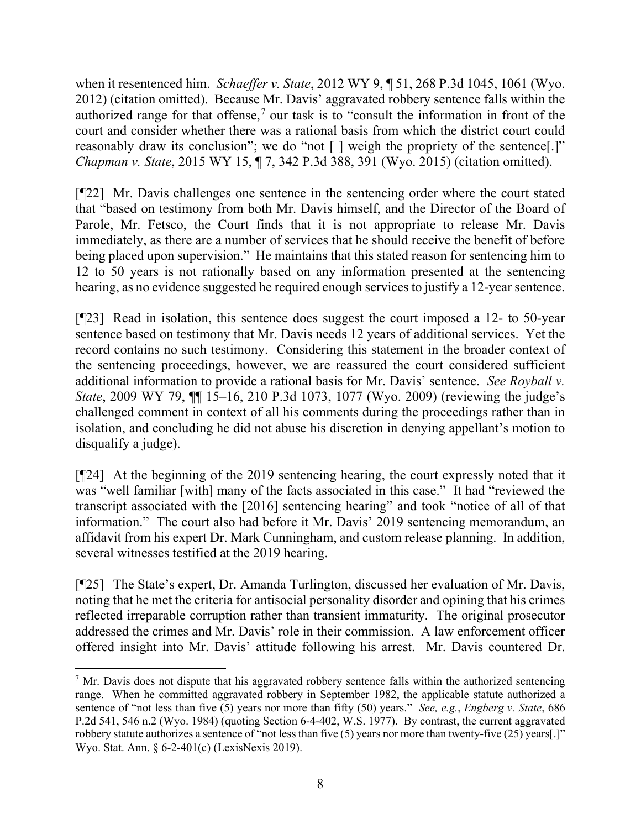when it resentenced him. *Schaeffer v. State*, 2012 WY 9, ¶ 51, 268 P.3d 1045, 1061 (Wyo. 2012) (citation omitted). Because Mr. Davis' aggravated robbery sentence falls within the authorized range for that offense, [7](#page-8-0) our task is to "consult the information in front of the court and consider whether there was a rational basis from which the district court could reasonably draw its conclusion"; we do "not [ ] weigh the propriety of the sentence[.]" *Chapman v. State*, 2015 WY 15, ¶ 7, 342 P.3d 388, 391 (Wyo. 2015) (citation omitted).

[¶22] Mr. Davis challenges one sentence in the sentencing order where the court stated that "based on testimony from both Mr. Davis himself, and the Director of the Board of Parole, Mr. Fetsco, the Court finds that it is not appropriate to release Mr. Davis immediately, as there are a number of services that he should receive the benefit of before being placed upon supervision." He maintains that this stated reason for sentencing him to 12 to 50 years is not rationally based on any information presented at the sentencing hearing, as no evidence suggested he required enough services to justify a 12-year sentence.

[¶23] Read in isolation, this sentence does suggest the court imposed a 12- to 50-year sentence based on testimony that Mr. Davis needs 12 years of additional services. Yet the record contains no such testimony. Considering this statement in the broader context of the sentencing proceedings, however, we are reassured the court considered sufficient additional information to provide a rational basis for Mr. Davis' sentence. *See Royball v. State*, 2009 WY 79, ¶¶ 15–16, 210 P.3d 1073, 1077 (Wyo. 2009) (reviewing the judge's challenged comment in context of all his comments during the proceedings rather than in isolation, and concluding he did not abuse his discretion in denying appellant's motion to disqualify a judge).

[¶24] At the beginning of the 2019 sentencing hearing, the court expressly noted that it was "well familiar [with] many of the facts associated in this case." It had "reviewed the transcript associated with the [2016] sentencing hearing" and took "notice of all of that information." The court also had before it Mr. Davis' 2019 sentencing memorandum, an affidavit from his expert Dr. Mark Cunningham, and custom release planning. In addition, several witnesses testified at the 2019 hearing.

[¶25] The State's expert, Dr. Amanda Turlington, discussed her evaluation of Mr. Davis, noting that he met the criteria for antisocial personality disorder and opining that his crimes reflected irreparable corruption rather than transient immaturity. The original prosecutor addressed the crimes and Mr. Davis' role in their commission. A law enforcement officer offered insight into Mr. Davis' attitude following his arrest. Mr. Davis countered Dr.

<span id="page-8-0"></span> $\frac{7}{1}$  Mr. Davis does not dispute that his aggravated robbery sentence falls within the authorized sentencing range. When he committed aggravated robbery in September 1982, the applicable statute authorized a sentence of "not less than five (5) years nor more than fifty (50) years." *See, e.g.*, *Engberg v. State*, 686 P.2d 541, 546 n.2 (Wyo. 1984) (quoting Section 6-4-402, W.S. 1977). By contrast, the current aggravated robbery statute authorizes a sentence of "not less than five (5) years nor more than twenty-five (25) years[.]" Wyo. Stat. Ann. § 6-2-401(c) (LexisNexis 2019).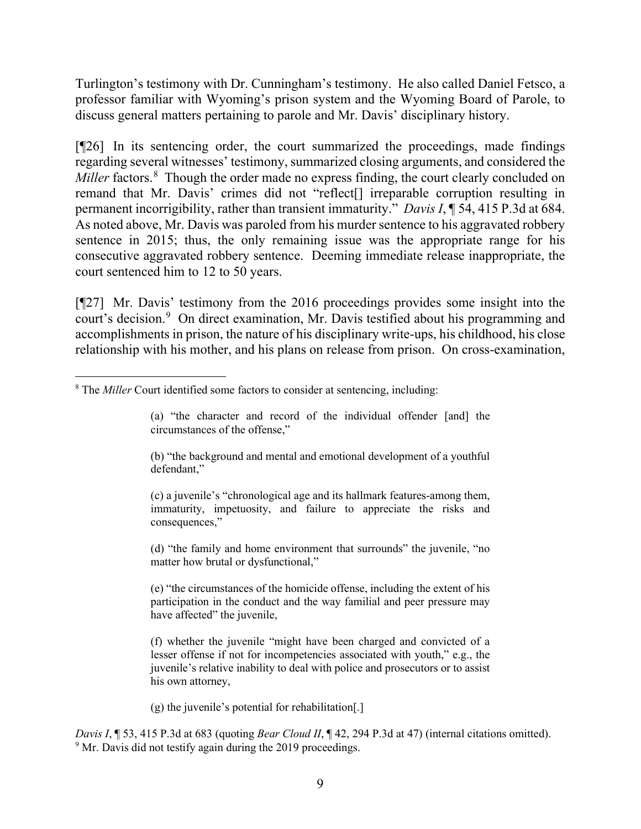Turlington's testimony with Dr. Cunningham's testimony. He also called Daniel Fetsco, a professor familiar with Wyoming's prison system and the Wyoming Board of Parole, to discuss general matters pertaining to parole and Mr. Davis' disciplinary history.

[¶26] In its sentencing order, the court summarized the proceedings, made findings regarding several witnesses' testimony, summarized closing arguments, and considered the Miller factors.<sup>[8](#page-9-0)</sup> Though the order made no express finding, the court clearly concluded on remand that Mr. Davis' crimes did not "reflect[] irreparable corruption resulting in permanent incorrigibility, rather than transient immaturity." *Davis I*, ¶ 54, 415 P.3d at 684. As noted above, Mr. Davis was paroled from his murder sentence to his aggravated robbery sentence in 2015; thus, the only remaining issue was the appropriate range for his consecutive aggravated robbery sentence. Deeming immediate release inappropriate, the court sentenced him to 12 to 50 years.

[¶27] Mr. Davis' testimony from the 2016 proceedings provides some insight into the court's decision.<sup>[9](#page-9-1)</sup> On direct examination, Mr. Davis testified about his programming and accomplishments in prison, the nature of his disciplinary write-ups, his childhood, his close relationship with his mother, and his plans on release from prison. On cross-examination,

- (b) "the background and mental and emotional development of a youthful defendant,"
- (c) a juvenile's "chronological age and its hallmark features-among them, immaturity, impetuosity, and failure to appreciate the risks and consequences,"

(d) "the family and home environment that surrounds" the juvenile, "no matter how brutal or dysfunctional,"

(e) "the circumstances of the homicide offense, including the extent of his participation in the conduct and the way familial and peer pressure may have affected" the juvenile,

(f) whether the juvenile "might have been charged and convicted of a lesser offense if not for incompetencies associated with youth," e.g., the juvenile's relative inability to deal with police and prosecutors or to assist his own attorney,

(g) the juvenile's potential for rehabilitation[.]

<span id="page-9-1"></span>*Davis I*, ¶ 53, 415 P.3d at 683 (quoting *Bear Cloud II*, ¶ 42, 294 P.3d at 47) (internal citations omitted). <sup>9</sup> Mr. Davis did not testify again during the 2019 proceedings.

<span id="page-9-0"></span><sup>8</sup> The *Miller* Court identified some factors to consider at sentencing, including:

<sup>(</sup>a) "the character and record of the individual offender [and] the circumstances of the offense,"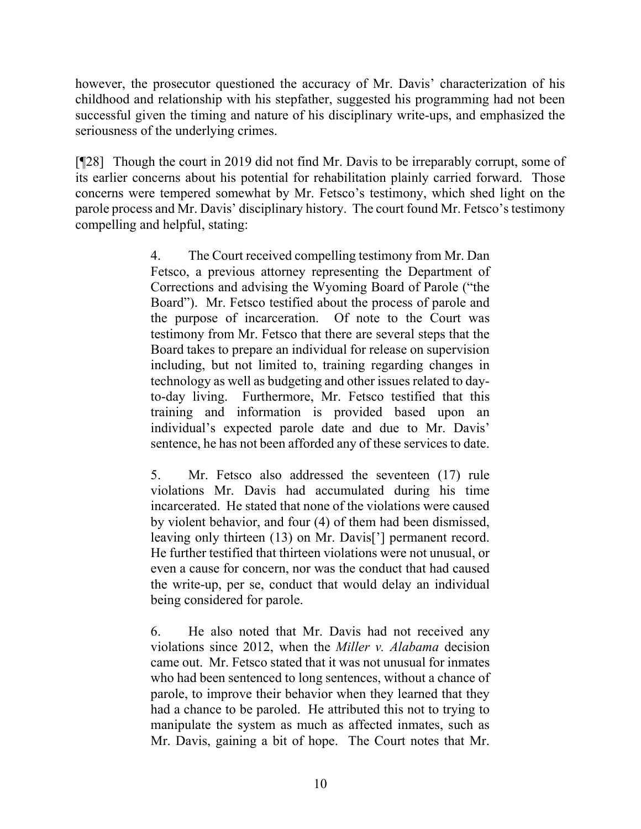however, the prosecutor questioned the accuracy of Mr. Davis' characterization of his childhood and relationship with his stepfather, suggested his programming had not been successful given the timing and nature of his disciplinary write-ups, and emphasized the seriousness of the underlying crimes.

[¶28] Though the court in 2019 did not find Mr. Davis to be irreparably corrupt, some of its earlier concerns about his potential for rehabilitation plainly carried forward. Those concerns were tempered somewhat by Mr. Fetsco's testimony, which shed light on the parole process and Mr. Davis' disciplinary history. The court found Mr. Fetsco's testimony compelling and helpful, stating:

> 4. The Court received compelling testimony from Mr. Dan Fetsco, a previous attorney representing the Department of Corrections and advising the Wyoming Board of Parole ("the Board"). Mr. Fetsco testified about the process of parole and the purpose of incarceration. Of note to the Court was testimony from Mr. Fetsco that there are several steps that the Board takes to prepare an individual for release on supervision including, but not limited to, training regarding changes in technology as well as budgeting and other issues related to dayto-day living. Furthermore, Mr. Fetsco testified that this training and information is provided based upon an individual's expected parole date and due to Mr. Davis' sentence, he has not been afforded any of these services to date.

> 5. Mr. Fetsco also addressed the seventeen (17) rule violations Mr. Davis had accumulated during his time incarcerated. He stated that none of the violations were caused by violent behavior, and four (4) of them had been dismissed, leaving only thirteen (13) on Mr. Davis['] permanent record. He further testified that thirteen violations were not unusual, or even a cause for concern, nor was the conduct that had caused the write-up, per se, conduct that would delay an individual being considered for parole.

> 6. He also noted that Mr. Davis had not received any violations since 2012, when the *Miller v. Alabama* decision came out. Mr. Fetsco stated that it was not unusual for inmates who had been sentenced to long sentences, without a chance of parole, to improve their behavior when they learned that they had a chance to be paroled. He attributed this not to trying to manipulate the system as much as affected inmates, such as Mr. Davis, gaining a bit of hope. The Court notes that Mr.